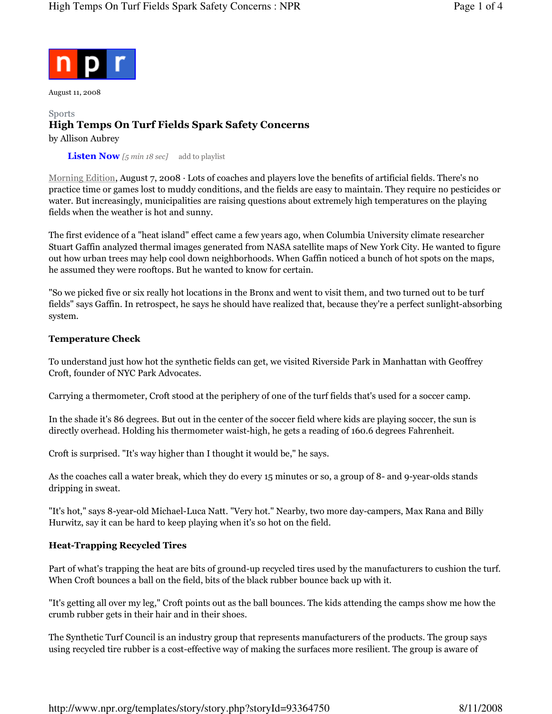

August 11, 2008

## Sports High Temps On Turf Fields Spark Safety Concerns by Allison Aubrey

**Listen Now** [5 min 18 sec] add to playlist

Morning Edition, August 7, 2008 · Lots of coaches and players love the benefits of artificial fields. There's no practice time or games lost to muddy conditions, and the fields are easy to maintain. They require no pesticides or water. But increasingly, municipalities are raising questions about extremely high temperatures on the playing fields when the weather is hot and sunny.

The first evidence of a "heat island" effect came a few years ago, when Columbia University climate researcher Stuart Gaffin analyzed thermal images generated from NASA satellite maps of New York City. He wanted to figure out how urban trees may help cool down neighborhoods. When Gaffin noticed a bunch of hot spots on the maps, he assumed they were rooftops. But he wanted to know for certain.

"So we picked five or six really hot locations in the Bronx and went to visit them, and two turned out to be turf fields" says Gaffin. In retrospect, he says he should have realized that, because they're a perfect sunlight-absorbing system.

### Temperature Check

To understand just how hot the synthetic fields can get, we visited Riverside Park in Manhattan with Geoffrey Croft, founder of NYC Park Advocates.

Carrying a thermometer, Croft stood at the periphery of one of the turf fields that's used for a soccer camp.

In the shade it's 86 degrees. But out in the center of the soccer field where kids are playing soccer, the sun is directly overhead. Holding his thermometer waist-high, he gets a reading of 160.6 degrees Fahrenheit.

Croft is surprised. "It's way higher than I thought it would be," he says.

As the coaches call a water break, which they do every 15 minutes or so, a group of 8- and 9-year-olds stands dripping in sweat.

"It's hot," says 8-year-old Michael-Luca Natt. "Very hot." Nearby, two more day-campers, Max Rana and Billy Hurwitz, say it can be hard to keep playing when it's so hot on the field.

## Heat-Trapping Recycled Tires

Part of what's trapping the heat are bits of ground-up recycled tires used by the manufacturers to cushion the turf. When Croft bounces a ball on the field, bits of the black rubber bounce back up with it.

"It's getting all over my leg," Croft points out as the ball bounces. The kids attending the camps show me how the crumb rubber gets in their hair and in their shoes.

The Synthetic Turf Council is an industry group that represents manufacturers of the products. The group says using recycled tire rubber is a cost-effective way of making the surfaces more resilient. The group is aware of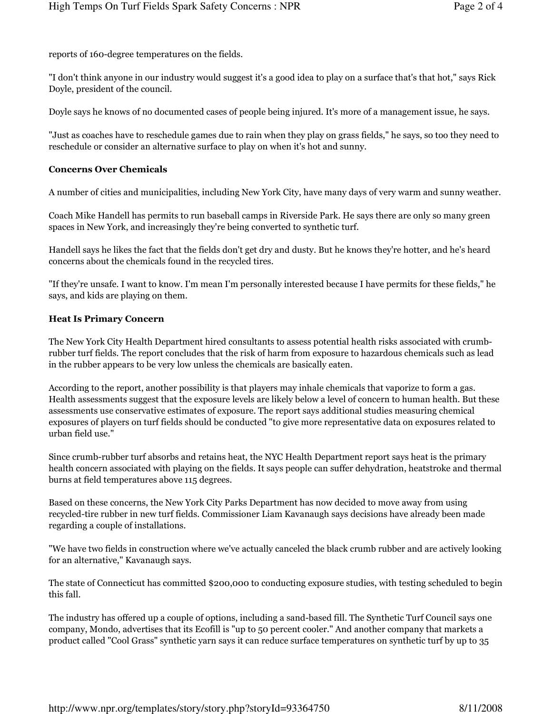reports of 160-degree temperatures on the fields.

"I don't think anyone in our industry would suggest it's a good idea to play on a surface that's that hot," says Rick Doyle, president of the council.

Doyle says he knows of no documented cases of people being injured. It's more of a management issue, he says.

"Just as coaches have to reschedule games due to rain when they play on grass fields," he says, so too they need to reschedule or consider an alternative surface to play on when it's hot and sunny.

## Concerns Over Chemicals

A number of cities and municipalities, including New York City, have many days of very warm and sunny weather.

Coach Mike Handell has permits to run baseball camps in Riverside Park. He says there are only so many green spaces in New York, and increasingly they're being converted to synthetic turf.

Handell says he likes the fact that the fields don't get dry and dusty. But he knows they're hotter, and he's heard concerns about the chemicals found in the recycled tires.

"If they're unsafe. I want to know. I'm mean I'm personally interested because I have permits for these fields," he says, and kids are playing on them.

### Heat Is Primary Concern

The New York City Health Department hired consultants to assess potential health risks associated with crumbrubber turf fields. The report concludes that the risk of harm from exposure to hazardous chemicals such as lead in the rubber appears to be very low unless the chemicals are basically eaten.

According to the report, another possibility is that players may inhale chemicals that vaporize to form a gas. Health assessments suggest that the exposure levels are likely below a level of concern to human health. But these assessments use conservative estimates of exposure. The report says additional studies measuring chemical exposures of players on turf fields should be conducted "to give more representative data on exposures related to urban field use."

Since crumb-rubber turf absorbs and retains heat, the NYC Health Department report says heat is the primary health concern associated with playing on the fields. It says people can suffer dehydration, heatstroke and thermal burns at field temperatures above 115 degrees.

Based on these concerns, the New York City Parks Department has now decided to move away from using recycled-tire rubber in new turf fields. Commissioner Liam Kavanaugh says decisions have already been made regarding a couple of installations.

"We have two fields in construction where we've actually canceled the black crumb rubber and are actively looking for an alternative," Kavanaugh says.

The state of Connecticut has committed \$200,000 to conducting exposure studies, with testing scheduled to begin this fall.

The industry has offered up a couple of options, including a sand-based fill. The Synthetic Turf Council says one company, Mondo, advertises that its Ecofill is "up to 50 percent cooler." And another company that markets a product called "Cool Grass" synthetic yarn says it can reduce surface temperatures on synthetic turf by up to 35